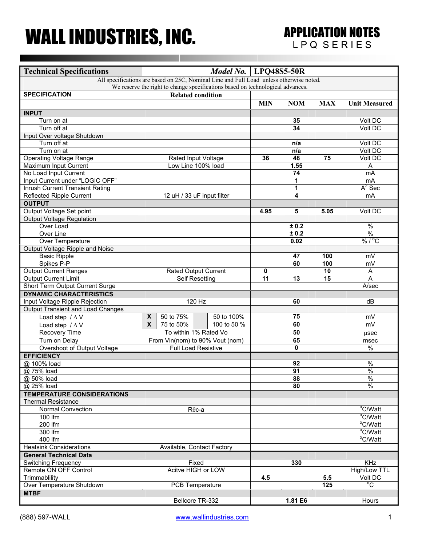## WALL INDUSTRIES, INC. APPLICATION NOTES

| <b>Technical Specifications</b>                                                         | Model No.   LPQ48S5-50R         |           |                            |                 |            |                 |                      |
|-----------------------------------------------------------------------------------------|---------------------------------|-----------|----------------------------|-----------------|------------|-----------------|----------------------|
| All specifications are based on 25C, Nominal Line and Full Load unless otherwise noted. |                                 |           |                            |                 |            |                 |                      |
| We reserve the right to change specifications based on technological advances.          |                                 |           |                            |                 |            |                 |                      |
| <b>SPECIFICATION</b>                                                                    |                                 |           | <b>Related condition</b>   |                 |            |                 |                      |
|                                                                                         |                                 |           |                            | <b>MIN</b>      | <b>NOM</b> | <b>MAX</b>      | <b>Unit Measured</b> |
| <b>INPUT</b>                                                                            |                                 |           |                            |                 |            |                 |                      |
| Turn on at                                                                              |                                 |           |                            |                 | 35         |                 | Volt DC              |
| Turn off at                                                                             |                                 |           |                            |                 | 34         |                 | Volt DC              |
| Input Over voltage Shutdown                                                             |                                 |           |                            |                 |            |                 |                      |
| Turn off at                                                                             |                                 |           |                            |                 | n/a        |                 | Volt DC              |
| Turn on at                                                                              |                                 |           |                            |                 | n/a        |                 | Volt DC              |
| <b>Operating Voltage Range</b>                                                          |                                 |           | Rated Input Voltage        | 36              | 48         | 75              | Volt DC              |
| Maximum Input Current                                                                   |                                 |           | Low Line 100% load         |                 | 1.55       |                 | Α                    |
| No Load Input Current                                                                   |                                 |           |                            |                 | 74         |                 | mA                   |
| Input Current under "LOGIC OFF"                                                         |                                 |           |                            |                 | 1          |                 | m <sub>A</sub>       |
| <b>Inrush Current Transient Rating</b>                                                  |                                 |           |                            |                 | 1          |                 | $A^2$ Sec            |
| <b>Reflected Ripple Current</b>                                                         |                                 |           | 12 uH / 33 uF input filter |                 | 4          |                 | mA                   |
| <b>OUTPUT</b>                                                                           |                                 |           |                            |                 |            |                 |                      |
| Output Voltage Set point                                                                |                                 |           |                            | 4.95            | 5          | 5.05            | Volt DC              |
| Output Voltage Regulation                                                               |                                 |           |                            |                 |            |                 |                      |
| Over Load                                                                               |                                 |           |                            |                 | ± 0.2      |                 | $\frac{1}{2}$        |
| <b>Over Line</b>                                                                        |                                 |           |                            |                 | ± 0.2      |                 | $\frac{9}{6}$        |
| Over Temperature                                                                        |                                 |           |                            |                 | 0.02       |                 | % / $^{\circ}$ C     |
| Output Voltage Ripple and Noise                                                         |                                 |           |                            |                 |            |                 |                      |
| <b>Basic Ripple</b>                                                                     |                                 |           |                            |                 | 47         | 100             | mV                   |
| Spikes P-P                                                                              |                                 |           |                            |                 | 60         | 100             | mV                   |
| <b>Output Current Ranges</b>                                                            | <b>Rated Output Current</b>     |           |                            | 0               |            | $\overline{10}$ | A                    |
| <b>Output Current Limit</b>                                                             | <b>Self Resetting</b>           |           |                            | $\overline{11}$ | 13         | $\overline{15}$ | A                    |
| Short Term Output Current Surge                                                         |                                 |           |                            |                 |            |                 | A/sec                |
| <b>DYNAMIC CHARACTERISTICS</b>                                                          |                                 |           |                            |                 |            |                 |                      |
| Input Voltage Ripple Rejection                                                          |                                 |           | 120 Hz                     |                 | 60         |                 | dB                   |
| <b>Output Transient and Load Changes</b>                                                |                                 |           |                            |                 |            |                 |                      |
| Load step $/\Delta V$                                                                   | $\boldsymbol{X}$                | 50 to 75% | 50 to 100%                 |                 | 75         |                 | mV                   |
| Load step $/\Delta V$                                                                   | $\overline{\mathbf{x}}$         | 75 to 50% | 100 to 50 %                |                 | 60         |                 | mV                   |
| Recovery Time                                                                           |                                 |           | To within 1% Rated Vo      |                 | 50         |                 | usec                 |
| Turn on Delay                                                                           | From Vin(nom) to 90% Vout (nom) |           |                            |                 | 65         |                 | msec                 |
| Overshoot of Output Voltage                                                             | <b>Full Load Resistive</b>      |           |                            |                 | 0          |                 | %                    |
| <b>EFFICIENCY</b>                                                                       |                                 |           |                            |                 |            |                 |                      |
| @ 100% load                                                                             |                                 |           |                            |                 | 92         |                 | $\%$                 |
| @ 75% load                                                                              |                                 |           |                            |                 | 91         |                 | $\frac{0}{6}$        |
| @ 50% load                                                                              |                                 |           |                            |                 | 88         |                 | $\%$                 |
| @ 25% load                                                                              |                                 |           |                            |                 | 80         |                 | $\%$                 |
| <b>TEMPERATURE CONSIDERATIONS</b>                                                       |                                 |           |                            |                 |            |                 |                      |
| <b>Thermal Resistance</b>                                                               |                                 |           |                            |                 |            |                 |                      |
| <b>Normal Convection</b>                                                                |                                 |           |                            |                 |            |                 | $\overline{C/W}$ att |
| 100 lfm                                                                                 | $R\theta$ c-a                   |           |                            |                 |            |                 | °C/Watt              |
| 200 lfm                                                                                 |                                 |           |                            |                 |            |                 | °C/Watt              |
| 300 lfm                                                                                 |                                 |           |                            |                 |            |                 | °C/Watt              |
| 400 lfm                                                                                 |                                 |           |                            |                 |            |                 | °C/Watt              |
| <b>Heatsink Considerations</b>                                                          | Available, Contact Factory      |           |                            |                 |            |                 |                      |
| <b>General Technical Data</b>                                                           |                                 |           |                            |                 |            |                 |                      |
| <b>Switching Frequency</b>                                                              |                                 | Fixed     |                            |                 | 330        |                 | KHz                  |
| Remote ON OFF Control                                                                   | Acitve HIGH or LOW              |           |                            |                 |            |                 | High/Low TTL         |
| Trimmablility                                                                           |                                 |           |                            | 4.5             |            | 5.5             | Volt DC              |
| Over Temperature Shutdown                                                               | PCB Temperature                 |           |                            |                 |            | 125             | $\overline{C}$       |
| <b>MTBF</b>                                                                             |                                 |           |                            |                 |            |                 |                      |
|                                                                                         |                                 |           |                            |                 | 1.81 E6    |                 | Hours                |
|                                                                                         | Bellcore TR-332                 |           |                            |                 |            |                 |                      |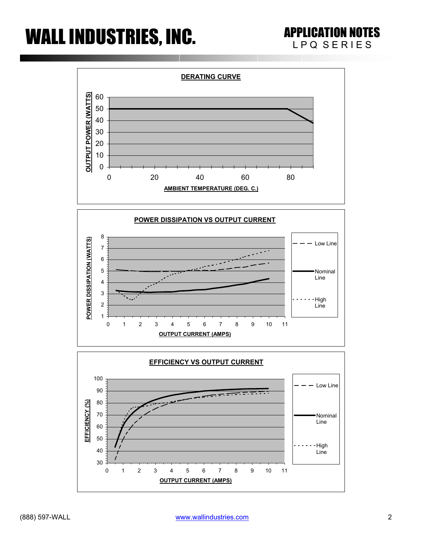## WALL INDUSTRIES, INC. APPLICATION NOTES